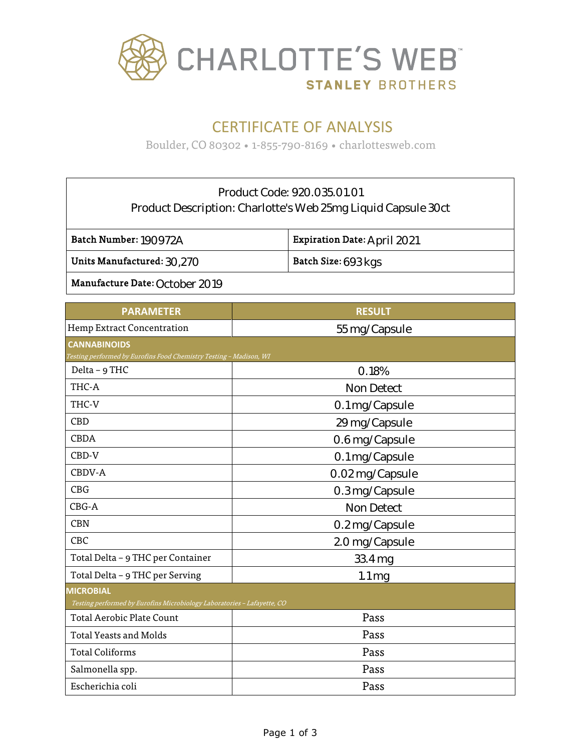

# CERTIFICATE OF ANALYSIS

Boulder, CO 80302 • 1-855-790-8169 • charlottesweb.com

### Product Code: 920.035.01.01 Product Description: Charlotte's Web 25mg Liquid Capsule 30ct

Batch Number: 190972A

Expiration Date: April 2021

Units Manufactured:  $30.270$ 

Batch Size: 693 kgs

Manufacture Date: October 2019

| <b>RESULT</b><br><b>PARAMETER</b><br>Hemp Extract Concentration<br>55 mg/Capsule<br><b>CANNABINOIDS</b><br>Testing performed by Eurofins Food Chemistry Testing - Madison, WI<br>Delta - 9 THC<br>0.18%<br>THC-A<br><b>Non Detect</b><br>THC-V<br>0.1 mg/Capsule<br><b>CBD</b><br>29 mg/Capsule<br><b>CBDA</b><br>0.6 mg/Capsule<br>CBD-V<br>0.1 mg/Capsule<br>CBDV-A<br>0.02 mg/Capsule<br><b>CBG</b><br>0.3 mg/Capsule<br>$CBG-A$<br><b>Non Detect</b><br><b>CBN</b><br>0.2 mg/Capsule<br><b>CBC</b><br>2.0 mg/Capsule<br>Total Delta - 9 THC per Container<br>33.4 mg |  |  |  |
|--------------------------------------------------------------------------------------------------------------------------------------------------------------------------------------------------------------------------------------------------------------------------------------------------------------------------------------------------------------------------------------------------------------------------------------------------------------------------------------------------------------------------------------------------------------------------|--|--|--|
|                                                                                                                                                                                                                                                                                                                                                                                                                                                                                                                                                                          |  |  |  |
|                                                                                                                                                                                                                                                                                                                                                                                                                                                                                                                                                                          |  |  |  |
|                                                                                                                                                                                                                                                                                                                                                                                                                                                                                                                                                                          |  |  |  |
|                                                                                                                                                                                                                                                                                                                                                                                                                                                                                                                                                                          |  |  |  |
|                                                                                                                                                                                                                                                                                                                                                                                                                                                                                                                                                                          |  |  |  |
|                                                                                                                                                                                                                                                                                                                                                                                                                                                                                                                                                                          |  |  |  |
|                                                                                                                                                                                                                                                                                                                                                                                                                                                                                                                                                                          |  |  |  |
|                                                                                                                                                                                                                                                                                                                                                                                                                                                                                                                                                                          |  |  |  |
|                                                                                                                                                                                                                                                                                                                                                                                                                                                                                                                                                                          |  |  |  |
|                                                                                                                                                                                                                                                                                                                                                                                                                                                                                                                                                                          |  |  |  |
|                                                                                                                                                                                                                                                                                                                                                                                                                                                                                                                                                                          |  |  |  |
|                                                                                                                                                                                                                                                                                                                                                                                                                                                                                                                                                                          |  |  |  |
|                                                                                                                                                                                                                                                                                                                                                                                                                                                                                                                                                                          |  |  |  |
|                                                                                                                                                                                                                                                                                                                                                                                                                                                                                                                                                                          |  |  |  |
|                                                                                                                                                                                                                                                                                                                                                                                                                                                                                                                                                                          |  |  |  |
|                                                                                                                                                                                                                                                                                                                                                                                                                                                                                                                                                                          |  |  |  |
| Total Delta - 9 THC per Serving<br>$1.1 \,\mathrm{mg}$                                                                                                                                                                                                                                                                                                                                                                                                                                                                                                                   |  |  |  |
| <b>MICROBIAL</b>                                                                                                                                                                                                                                                                                                                                                                                                                                                                                                                                                         |  |  |  |
| Testing performed by Eurofins Microbiology Laboratories - Lafayette, CO                                                                                                                                                                                                                                                                                                                                                                                                                                                                                                  |  |  |  |
| Pass<br><b>Total Aerobic Plate Count</b>                                                                                                                                                                                                                                                                                                                                                                                                                                                                                                                                 |  |  |  |
| Pass<br><b>Total Yeasts and Molds</b>                                                                                                                                                                                                                                                                                                                                                                                                                                                                                                                                    |  |  |  |
| Pass<br><b>Total Coliforms</b>                                                                                                                                                                                                                                                                                                                                                                                                                                                                                                                                           |  |  |  |
| Pass<br>Salmonella spp.                                                                                                                                                                                                                                                                                                                                                                                                                                                                                                                                                  |  |  |  |
| Escherichia coli<br>Pass                                                                                                                                                                                                                                                                                                                                                                                                                                                                                                                                                 |  |  |  |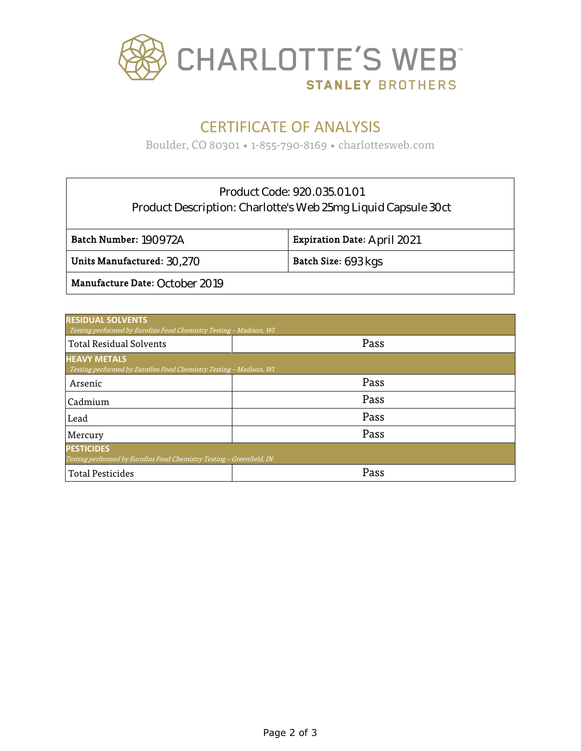

## CERTIFICATE OF ANALYSIS

Boulder, CO 80301 • 1-855-790-8169 • charlottesweb.com

### Product Code: 920.035.01.01 Product Description: Charlotte's Web 25mg Liquid Capsule 30ct

| Batch Number: 190972A                               | <b>Expiration Date: April 2021</b> |
|-----------------------------------------------------|------------------------------------|
| Units Manufactured: $30.270$<br>Batch Size: 693 kgs |                                    |
| Manufacture Date: October 2019                      |                                    |

| <b>RESIDUAL SOLVENTS</b><br>Testing performed by Eurofins Food Chemistry Testing - Madison, WI |      |  |  |  |
|------------------------------------------------------------------------------------------------|------|--|--|--|
| <b>Total Residual Solvents</b>                                                                 | Pass |  |  |  |
| <b>HEAVY METALS</b><br>Testing performed by Eurofins Food Chemistry Testing - Madison, WI      |      |  |  |  |
| Arsenic                                                                                        | Pass |  |  |  |
| Cadmium                                                                                        | Pass |  |  |  |
| Lead                                                                                           | Pass |  |  |  |
| Mercury                                                                                        | Pass |  |  |  |
| <b>PESTICIDES</b><br>Testing performed by Eurofins Food Chemistry Testing - Greenfield, IN     |      |  |  |  |
| <b>Total Pesticides</b>                                                                        | Pass |  |  |  |